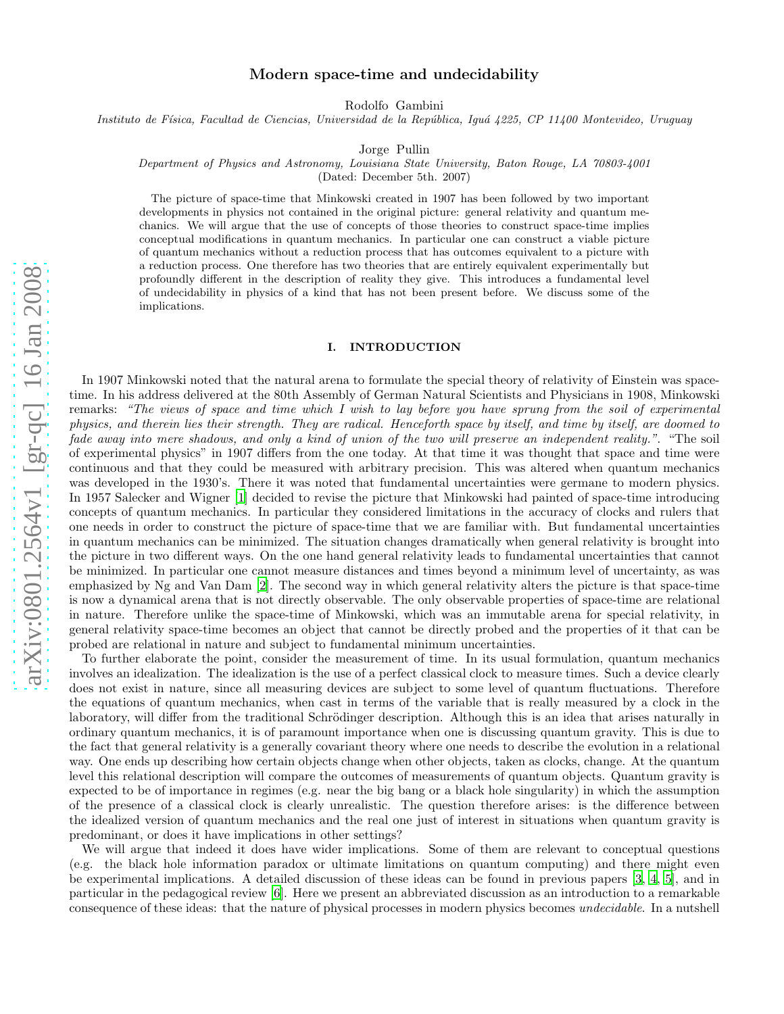## Modern space-time and undecidability

Rodolfo Gambini

Instituto de Física, Facultad de Ciencias, Universidad de la República, Iguá 4225, CP 11400 Montevideo, Uruguay

Jorge Pullin

Department of Physics and Astronomy, Louisiana State University, Baton Rouge, LA 70803-4001

(Dated: December 5th. 2007)

The picture of space-time that Minkowski created in 1907 has been followed by two important developments in physics not contained in the original picture: general relativity and quantum mechanics. We will argue that the use of concepts of those theories to construct space-time implies conceptual modifications in quantum mechanics. In particular one can construct a viable picture of quantum mechanics without a reduction process that has outcomes equivalent to a picture with a reduction process. One therefore has two theories that are entirely equivalent experimentally but profoundly different in the description of reality they give. This introduces a fundamental level of undecidability in physics of a kind that has not been present before. We discuss some of the implications.

#### I. INTRODUCTION

In 1907 Minkowski noted that the natural arena to formulate the special theory of relativity of Einstein was spacetime. In his address delivered at the 80th Assembly of German Natural Scientists and Physicians in 1908, Minkowski remarks: "The views of space and time which I wish to lay before you have sprung from the soil of experimental physics, and therein lies their strength. They are radical. Henceforth space by itself, and time by itself, are doomed to fade away into mere shadows, and only a kind of union of the two will preserve an independent reality.". "The soil of experimental physics" in 1907 differs from the one today. At that time it was thought that space and time were continuous and that they could be measured with arbitrary precision. This was altered when quantum mechanics was developed in the 1930's. There it was noted that fundamental uncertainties were germane to modern physics. In 1957 Salecker and Wigner [\[1\]](#page-6-0) decided to revise the picture that Minkowski had painted of space-time introducing concepts of quantum mechanics. In particular they considered limitations in the accuracy of clocks and rulers that one needs in order to construct the picture of space-time that we are familiar with. But fundamental uncertainties in quantum mechanics can be minimized. The situation changes dramatically when general relativity is brought into the picture in two different ways. On the one hand general relativity leads to fundamental uncertainties that cannot be minimized. In particular one cannot measure distances and times beyond a minimum level of uncertainty, as was emphasized by Ng and Van Dam [\[2\]](#page-6-1). The second way in which general relativity alters the picture is that space-time is now a dynamical arena that is not directly observable. The only observable properties of space-time are relational in nature. Therefore unlike the space-time of Minkowski, which was an immutable arena for special relativity, in general relativity space-time becomes an object that cannot be directly probed and the properties of it that can be probed are relational in nature and subject to fundamental minimum uncertainties.

To further elaborate the point, consider the measurement of time. In its usual formulation, quantum mechanics involves an idealization. The idealization is the use of a perfect classical clock to measure times. Such a device clearly does not exist in nature, since all measuring devices are subject to some level of quantum fluctuations. Therefore the equations of quantum mechanics, when cast in terms of the variable that is really measured by a clock in the laboratory, will differ from the traditional Schrödinger description. Although this is an idea that arises naturally in ordinary quantum mechanics, it is of paramount importance when one is discussing quantum gravity. This is due to the fact that general relativity is a generally covariant theory where one needs to describe the evolution in a relational way. One ends up describing how certain objects change when other objects, taken as clocks, change. At the quantum level this relational description will compare the outcomes of measurements of quantum objects. Quantum gravity is expected to be of importance in regimes (e.g. near the big bang or a black hole singularity) in which the assumption of the presence of a classical clock is clearly unrealistic. The question therefore arises: is the difference between the idealized version of quantum mechanics and the real one just of interest in situations when quantum gravity is predominant, or does it have implications in other settings?

We will argue that indeed it does have wider implications. Some of them are relevant to conceptual questions (e.g. the black hole information paradox or ultimate limitations on quantum computing) and there might even be experimental implications. A detailed discussion of these ideas can be found in previous papers [\[3](#page-6-2), [4](#page-6-3), [5\]](#page-6-4), and in particular in the pedagogical review [\[6\]](#page-6-5). Here we present an abbreviated discussion as an introduction to a remarkable consequence of these ideas: that the nature of physical processes in modern physics becomes undecidable. In a nutshell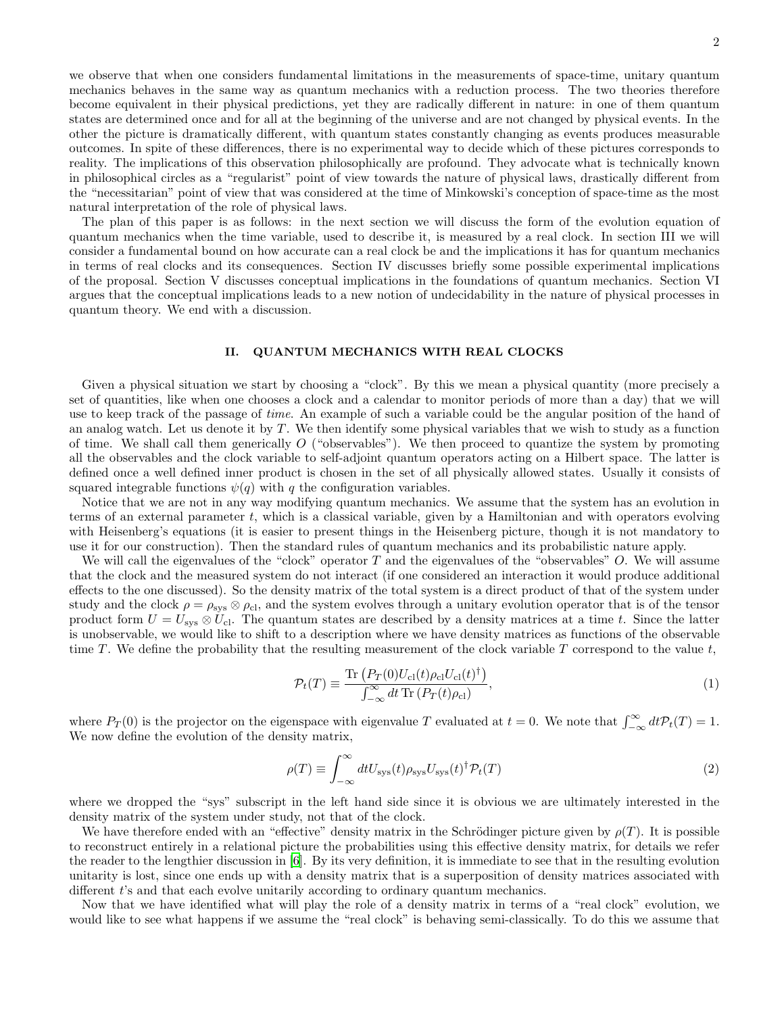we observe that when one considers fundamental limitations in the measurements of space-time, unitary quantum mechanics behaves in the same way as quantum mechanics with a reduction process. The two theories therefore become equivalent in their physical predictions, yet they are radically different in nature: in one of them quantum states are determined once and for all at the beginning of the universe and are not changed by physical events. In the other the picture is dramatically different, with quantum states constantly changing as events produces measurable outcomes. In spite of these differences, there is no experimental way to decide which of these pictures corresponds to reality. The implications of this observation philosophically are profound. They advocate what is technically known in philosophical circles as a "regularist" point of view towards the nature of physical laws, drastically different from the "necessitarian" point of view that was considered at the time of Minkowski's conception of space-time as the most natural interpretation of the role of physical laws.

The plan of this paper is as follows: in the next section we will discuss the form of the evolution equation of quantum mechanics when the time variable, used to describe it, is measured by a real clock. In section III we will consider a fundamental bound on how accurate can a real clock be and the implications it has for quantum mechanics in terms of real clocks and its consequences. Section IV discusses briefly some possible experimental implications of the proposal. Section V discusses conceptual implications in the foundations of quantum mechanics. Section VI argues that the conceptual implications leads to a new notion of undecidability in the nature of physical processes in quantum theory. We end with a discussion.

# II. QUANTUM MECHANICS WITH REAL CLOCKS

Given a physical situation we start by choosing a "clock". By this we mean a physical quantity (more precisely a set of quantities, like when one chooses a clock and a calendar to monitor periods of more than a day) that we will use to keep track of the passage of *time*. An example of such a variable could be the angular position of the hand of an analog watch. Let us denote it by  $T$ . We then identify some physical variables that we wish to study as a function of time. We shall call them generically  $O$  ("observables"). We then proceed to quantize the system by promoting all the observables and the clock variable to self-adjoint quantum operators acting on a Hilbert space. The latter is defined once a well defined inner product is chosen in the set of all physically allowed states. Usually it consists of squared integrable functions  $\psi(q)$  with q the configuration variables.

Notice that we are not in any way modifying quantum mechanics. We assume that the system has an evolution in terms of an external parameter t, which is a classical variable, given by a Hamiltonian and with operators evolving with Heisenberg's equations (it is easier to present things in the Heisenberg picture, though it is not mandatory to use it for our construction). Then the standard rules of quantum mechanics and its probabilistic nature apply.

We will call the eigenvalues of the "clock" operator  $T$  and the eigenvalues of the "observables"  $O$ . We will assume that the clock and the measured system do not interact (if one considered an interaction it would produce additional effects to the one discussed). So the density matrix of the total system is a direct product of that of the system under study and the clock  $\rho = \rho_{sys} \otimes \rho_{\rm cl}$ , and the system evolves through a unitary evolution operator that is of the tensor product form  $U = U_{\text{sys}} \otimes U_{\text{cl}}$ . The quantum states are described by a density matrices at a time t. Since the latter is unobservable, we would like to shift to a description where we have density matrices as functions of the observable time T. We define the probability that the resulting measurement of the clock variable  $T$  correspond to the value  $t$ ,

$$
\mathcal{P}_t(T) \equiv \frac{\text{Tr}\left(P_T(0)U_{\text{cl}}(t)\rho_{\text{cl}}U_{\text{cl}}(t)^{\dagger}\right)}{\int_{-\infty}^{\infty} dt \text{ Tr}\left(P_T(t)\rho_{\text{cl}}\right)},\tag{1}
$$

where  $P_T(0)$  is the projector on the eigenspace with eigenvalue T evaluated at  $t = 0$ . We note that  $\int_{-\infty}^{\infty} dt \mathcal{P}_t(T) = 1$ . We now define the evolution of the density matrix,

$$
\rho(T) \equiv \int_{-\infty}^{\infty} dt U_{\rm sys}(t) \rho_{\rm sys} U_{\rm sys}(t)^{\dagger} \mathcal{P}_t(T) \tag{2}
$$

where we dropped the "sys" subscript in the left hand side since it is obvious we are ultimately interested in the density matrix of the system under study, not that of the clock.

We have therefore ended with an "effective" density matrix in the Schrödinger picture given by  $\rho(T)$ . It is possible to reconstruct entirely in a relational picture the probabilities using this effective density matrix, for details we refer the reader to the lengthier discussion in [\[6\]](#page-6-5). By its very definition, it is immediate to see that in the resulting evolution unitarity is lost, since one ends up with a density matrix that is a superposition of density matrices associated with different t's and that each evolve unitarily according to ordinary quantum mechanics.

Now that we have identified what will play the role of a density matrix in terms of a "real clock" evolution, we would like to see what happens if we assume the "real clock" is behaving semi-classically. To do this we assume that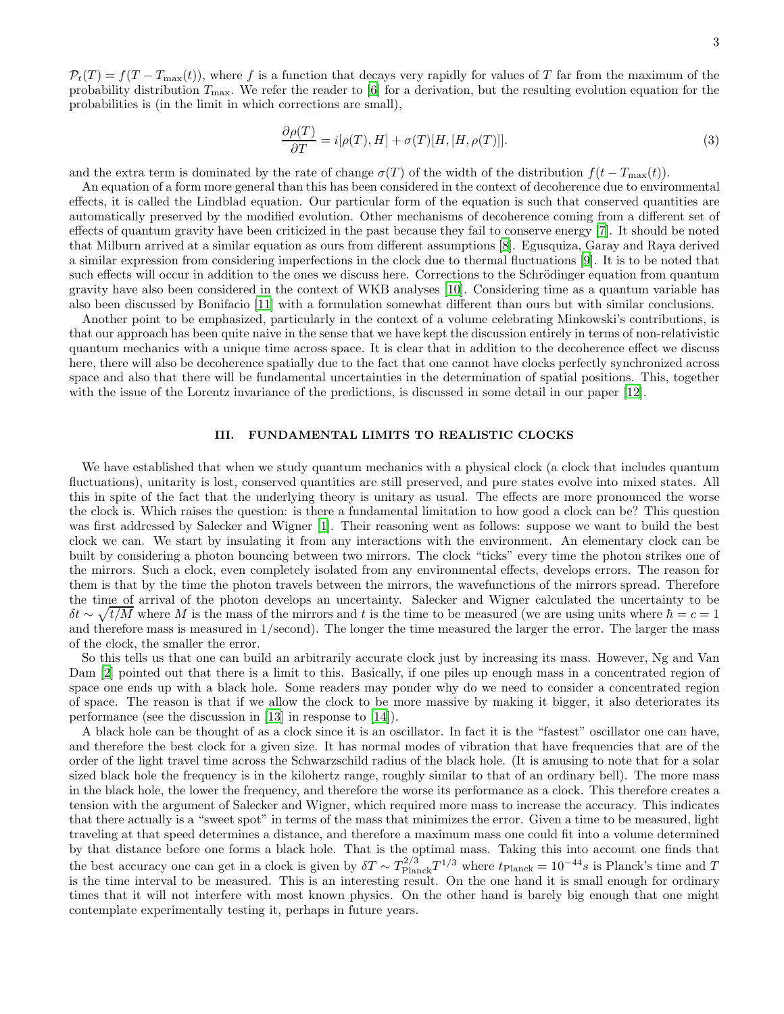$P_t(T) = f(T - T_{\text{max}}(t))$ , where f is a function that decays very rapidly for values of T far from the maximum of the probability distribution  $T_{\text{max}}$ . We refer the reader to [\[6\]](#page-6-5) for a derivation, but the resulting evolution equation for the probabilities is (in the limit in which corrections are small),

$$
\frac{\partial \rho(T)}{\partial T} = i[\rho(T), H] + \sigma(T)[H, [H, \rho(T)]].
$$
\n(3)

and the extra term is dominated by the rate of change  $\sigma(T)$  of the width of the distribution  $f(t - T_{\text{max}}(t))$ .

An equation of a form more general than this has been considered in the context of decoherence due to environmental effects, it is called the Lindblad equation. Our particular form of the equation is such that conserved quantities are automatically preserved by the modified evolution. Other mechanisms of decoherence coming from a different set of effects of quantum gravity have been criticized in the past because they fail to conserve energy [\[7](#page-6-6)]. It should be noted that Milburn arrived at a similar equation as ours from different assumptions [\[8\]](#page-6-7). Egusquiza, Garay and Raya derived a similar expression from considering imperfections in the clock due to thermal fluctuations [\[9](#page-6-8)]. It is to be noted that such effects will occur in addition to the ones we discuss here. Corrections to the Schrödinger equation from quantum gravity have also been considered in the context of WKB analyses [\[10\]](#page-6-9). Considering time as a quantum variable has also been discussed by Bonifacio [\[11](#page-6-10)] with a formulation somewhat different than ours but with similar conclusions.

Another point to be emphasized, particularly in the context of a volume celebrating Minkowski's contributions, is that our approach has been quite naive in the sense that we have kept the discussion entirely in terms of non-relativistic quantum mechanics with a unique time across space. It is clear that in addition to the decoherence effect we discuss here, there will also be decoherence spatially due to the fact that one cannot have clocks perfectly synchronized across space and also that there will be fundamental uncertainties in the determination of spatial positions. This, together with the issue of the Lorentz invariance of the predictions, is discussed in some detail in our paper [\[12\]](#page-6-11).

#### III. FUNDAMENTAL LIMITS TO REALISTIC CLOCKS

We have established that when we study quantum mechanics with a physical clock (a clock that includes quantum fluctuations), unitarity is lost, conserved quantities are still preserved, and pure states evolve into mixed states. All this in spite of the fact that the underlying theory is unitary as usual. The effects are more pronounced the worse the clock is. Which raises the question: is there a fundamental limitation to how good a clock can be? This question was first addressed by Salecker and Wigner [\[1](#page-6-0)]. Their reasoning went as follows: suppose we want to build the best clock we can. We start by insulating it from any interactions with the environment. An elementary clock can be built by considering a photon bouncing between two mirrors. The clock "ticks" every time the photon strikes one of the mirrors. Such a clock, even completely isolated from any environmental effects, develops errors. The reason for them is that by the time the photon travels between the mirrors, the wavefunctions of the mirrors spread. Therefore the time of arrival of the photon develops an uncertainty. Salecker and Wigner calculated the uncertainty to be  $\delta t \sim \sqrt{t/M}$  where M is the mass of the mirrors and t is the time to be measured (we are using units where  $\hbar = c = 1$ and therefore mass is measured in 1/second). The longer the time measured the larger the error. The larger the mass of the clock, the smaller the error.

So this tells us that one can build an arbitrarily accurate clock just by increasing its mass. However, Ng and Van Dam [\[2](#page-6-1)] pointed out that there is a limit to this. Basically, if one piles up enough mass in a concentrated region of space one ends up with a black hole. Some readers may ponder why do we need to consider a concentrated region of space. The reason is that if we allow the clock to be more massive by making it bigger, it also deteriorates its performance (see the discussion in [\[13](#page-6-12)] in response to [\[14](#page-7-0)]).

A black hole can be thought of as a clock since it is an oscillator. In fact it is the "fastest" oscillator one can have, and therefore the best clock for a given size. It has normal modes of vibration that have frequencies that are of the order of the light travel time across the Schwarzschild radius of the black hole. (It is amusing to note that for a solar sized black hole the frequency is in the kilohertz range, roughly similar to that of an ordinary bell). The more mass in the black hole, the lower the frequency, and therefore the worse its performance as a clock. This therefore creates a tension with the argument of Salecker and Wigner, which required more mass to increase the accuracy. This indicates that there actually is a "sweet spot" in terms of the mass that minimizes the error. Given a time to be measured, light traveling at that speed determines a distance, and therefore a maximum mass one could fit into a volume determined by that distance before one forms a black hole. That is the optimal mass. Taking this into account one finds that the best accuracy one can get in a clock is given by  $\delta T \sim T_{\text{Planck}}^{2/3} T^{1/3}$  where  $t_{\text{Planck}} = 10^{-44} s$  is Planck's time and T is the time interval to be measured. This is an interesting result. On the one hand it is small enough for ordinary times that it will not interfere with most known physics. On the other hand is barely big enough that one might contemplate experimentally testing it, perhaps in future years.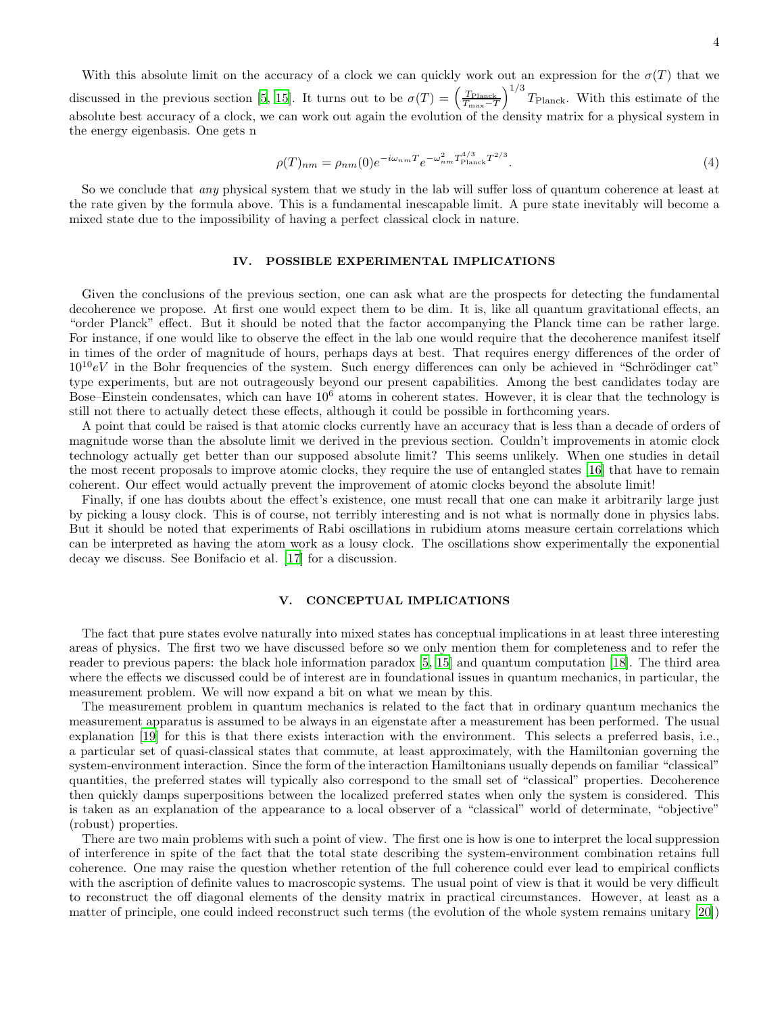With this absolute limit on the accuracy of a clock we can quickly work out an expression for the  $\sigma(T)$  that we discussed in the previous section [\[5,](#page-6-4) [15](#page-7-1)]. It turns out to be  $\sigma(T) = \left(\frac{T_{\text{Planck}}}{T_{\text{max}}-T}\right)^{1/3} T_{\text{Planck}}$ . With this estimate of the absolute best accuracy of a clock, we can work out again the evolution of the density matrix for a physical system in the energy eigenbasis. One gets n

$$
\rho(T)_{nm} = \rho_{nm}(0)e^{-i\omega_{nm}T}e^{-\omega_{nm}^2T_{\text{Planck}}^{4/3}T^{2/3}}.
$$
\n(4)

So we conclude that *any* physical system that we study in the lab will suffer loss of quantum coherence at least at the rate given by the formula above. This is a fundamental inescapable limit. A pure state inevitably will become a mixed state due to the impossibility of having a perfect classical clock in nature.

#### IV. POSSIBLE EXPERIMENTAL IMPLICATIONS

Given the conclusions of the previous section, one can ask what are the prospects for detecting the fundamental decoherence we propose. At first one would expect them to be dim. It is, like all quantum gravitational effects, an "order Planck" effect. But it should be noted that the factor accompanying the Planck time can be rather large. For instance, if one would like to observe the effect in the lab one would require that the decoherence manifest itself in times of the order of magnitude of hours, perhaps days at best. That requires energy differences of the order of  $10^{10}eV$  in the Bohr frequencies of the system. Such energy differences can only be achieved in "Schrödinger cat" type experiments, but are not outrageously beyond our present capabilities. Among the best candidates today are Bose–Einstein condensates, which can have  $10^6$  atoms in coherent states. However, it is clear that the technology is still not there to actually detect these effects, although it could be possible in forthcoming years.

A point that could be raised is that atomic clocks currently have an accuracy that is less than a decade of orders of magnitude worse than the absolute limit we derived in the previous section. Couldn't improvements in atomic clock technology actually get better than our supposed absolute limit? This seems unlikely. When one studies in detail the most recent proposals to improve atomic clocks, they require the use of entangled states [\[16\]](#page-7-2) that have to remain coherent. Our effect would actually prevent the improvement of atomic clocks beyond the absolute limit!

Finally, if one has doubts about the effect's existence, one must recall that one can make it arbitrarily large just by picking a lousy clock. This is of course, not terribly interesting and is not what is normally done in physics labs. But it should be noted that experiments of Rabi oscillations in rubidium atoms measure certain correlations which can be interpreted as having the atom work as a lousy clock. The oscillations show experimentally the exponential decay we discuss. See Bonifacio et al. [\[17\]](#page-7-3) for a discussion.

#### V. CONCEPTUAL IMPLICATIONS

The fact that pure states evolve naturally into mixed states has conceptual implications in at least three interesting areas of physics. The first two we have discussed before so we only mention them for completeness and to refer the reader to previous papers: the black hole information paradox [\[5](#page-6-4), [15\]](#page-7-1) and quantum computation [\[18\]](#page-7-4). The third area where the effects we discussed could be of interest are in foundational issues in quantum mechanics, in particular, the measurement problem. We will now expand a bit on what we mean by this.

The measurement problem in quantum mechanics is related to the fact that in ordinary quantum mechanics the measurement apparatus is assumed to be always in an eigenstate after a measurement has been performed. The usual explanation [\[19\]](#page-7-5) for this is that there exists interaction with the environment. This selects a preferred basis, i.e., a particular set of quasi-classical states that commute, at least approximately, with the Hamiltonian governing the system-environment interaction. Since the form of the interaction Hamiltonians usually depends on familiar "classical" quantities, the preferred states will typically also correspond to the small set of "classical" properties. Decoherence then quickly damps superpositions between the localized preferred states when only the system is considered. This is taken as an explanation of the appearance to a local observer of a "classical" world of determinate, "objective" (robust) properties.

There are two main problems with such a point of view. The first one is how is one to interpret the local suppression of interference in spite of the fact that the total state describing the system-environment combination retains full coherence. One may raise the question whether retention of the full coherence could ever lead to empirical conflicts with the ascription of definite values to macroscopic systems. The usual point of view is that it would be very difficult to reconstruct the off diagonal elements of the density matrix in practical circumstances. However, at least as a matter of principle, one could indeed reconstruct such terms (the evolution of the whole system remains unitary [\[20\]](#page-7-6))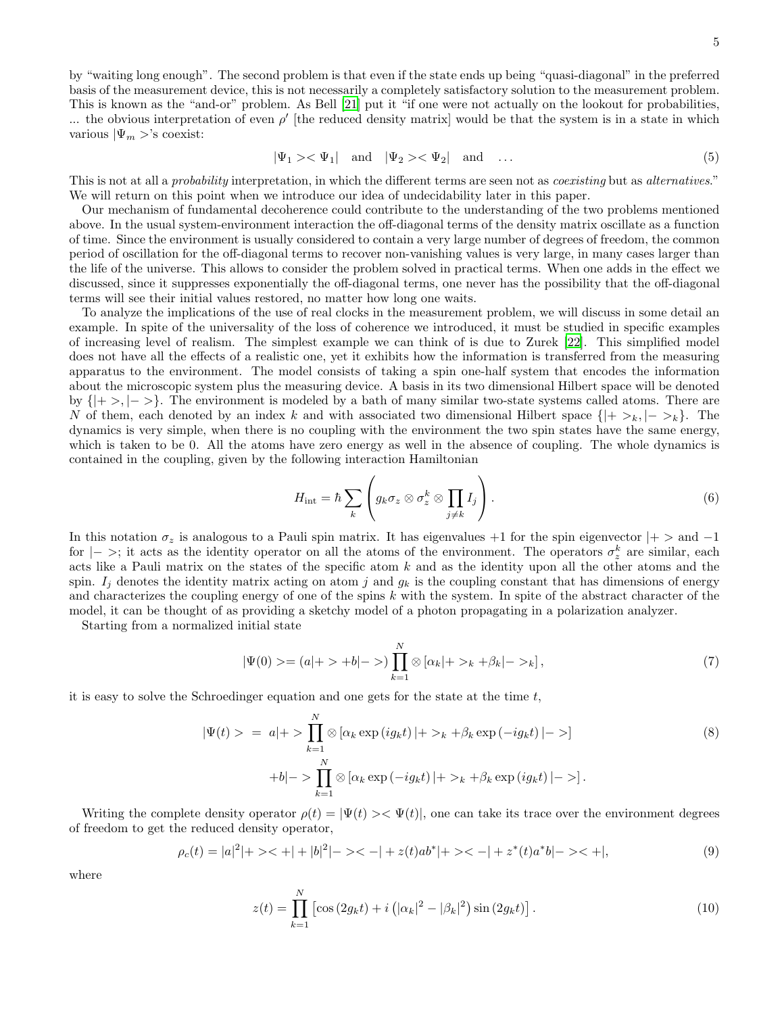by "waiting long enough". The second problem is that even if the state ends up being "quasi-diagonal" in the preferred basis of the measurement device, this is not necessarily a completely satisfactory solution to the measurement problem. This is known as the "and-or" problem. As Bell [\[21](#page-7-7)] put it "if one were not actually on the lookout for probabilities, ... the obvious interpretation of even  $\rho'$  [the reduced density matrix] would be that the system is in a state in which various  $|\Psi_m>$ 's coexist:

$$
|\Psi_1 \rangle \langle \Psi_1 | \quad \text{and} \quad |\Psi_2 \rangle \langle \Psi_2 | \quad \text{and} \quad \dots \tag{5}
$$

This is not at all a *probability* interpretation, in which the different terms are seen not as *coexisting* but as *alternatives.*" We will return on this point when we introduce our idea of undecidability later in this paper.

Our mechanism of fundamental decoherence could contribute to the understanding of the two problems mentioned above. In the usual system-environment interaction the off-diagonal terms of the density matrix oscillate as a function of time. Since the environment is usually considered to contain a very large number of degrees of freedom, the common period of oscillation for the off-diagonal terms to recover non-vanishing values is very large, in many cases larger than the life of the universe. This allows to consider the problem solved in practical terms. When one adds in the effect we discussed, since it suppresses exponentially the off-diagonal terms, one never has the possibility that the off-diagonal terms will see their initial values restored, no matter how long one waits.

To analyze the implications of the use of real clocks in the measurement problem, we will discuss in some detail an example. In spite of the universality of the loss of coherence we introduced, it must be studied in specific examples of increasing level of realism. The simplest example we can think of is due to Zurek [\[22](#page-7-8)]. This simplified model does not have all the effects of a realistic one, yet it exhibits how the information is transferred from the measuring apparatus to the environment. The model consists of taking a spin one-half system that encodes the information about the microscopic system plus the measuring device. A basis in its two dimensional Hilbert space will be denoted by  $\{ |+ \rangle, |-\rangle \}$ . The environment is modeled by a bath of many similar two-state systems called atoms. There are N of them, each denoted by an index k and with associated two dimensional Hilbert space  $\{+ >_k, |->_k\}$ . The dynamics is very simple, when there is no coupling with the environment the two spin states have the same energy, which is taken to be 0. All the atoms have zero energy as well in the absence of coupling. The whole dynamics is contained in the coupling, given by the following interaction Hamiltonian

$$
H_{\rm int} = \hbar \sum_{k} \left( g_k \sigma_z \otimes \sigma_z^k \otimes \prod_{j \neq k} I_j \right). \tag{6}
$$

In this notation  $\sigma_z$  is analogous to a Pauli spin matrix. It has eigenvalues +1 for the spin eigenvector  $|+>$  and  $-1$ for  $|->$ ; it acts as the identity operator on all the atoms of the environment. The operators  $\sigma_z^k$  are similar, each acts like a Pauli matrix on the states of the specific atom k and as the identity upon all the other atoms and the spin.  $I_j$  denotes the identity matrix acting on atom j and  $g_k$  is the coupling constant that has dimensions of energy and characterizes the coupling energy of one of the spins  $k$  with the system. In spite of the abstract character of the model, it can be thought of as providing a sketchy model of a photon propagating in a polarization analyzer.

Starting from a normalized initial state

$$
|\Psi(0)\rangle = (a|+ \rangle + b|-\rangle) \prod_{k=1}^{N} \otimes [\alpha_k|+ \rangle_k + \beta_k|-\rangle_k],
$$
\n(7)

it is easy to solve the Schroedinger equation and one gets for the state at the time  $t$ ,

$$
|\Psi(t)\rangle = a|+\rangle \prod_{k=1}^{N} \otimes [\alpha_k \exp(i g_k t)|+\rangle_k + \beta_k \exp(-ig_k t)|-\rangle] \tag{8}
$$

$$
+b|-\rangle \prod_{k=1}^{N} \otimes [\alpha_k \exp(-ig_k t)|+\rangle_k + \beta_k \exp(i g_k t)|-\rangle].
$$

Writing the complete density operator  $\rho(t) = |\Psi(t) \rangle \langle \Psi(t)|$ , one can take its trace over the environment degrees of freedom to get the reduced density operator,

$$
\rho_c(t) = |a|^2|+><+|+|b|^2|-><-|+z(t)ab^*|+><-|+z^*(t)a^*b|-><+|,
$$
\n(9)

where

$$
z(t) = \prod_{k=1}^{N} \left[ \cos(2g_k t) + i \left( |\alpha_k|^2 - |\beta_k|^2 \right) \sin(2g_k t) \right].
$$
 (10)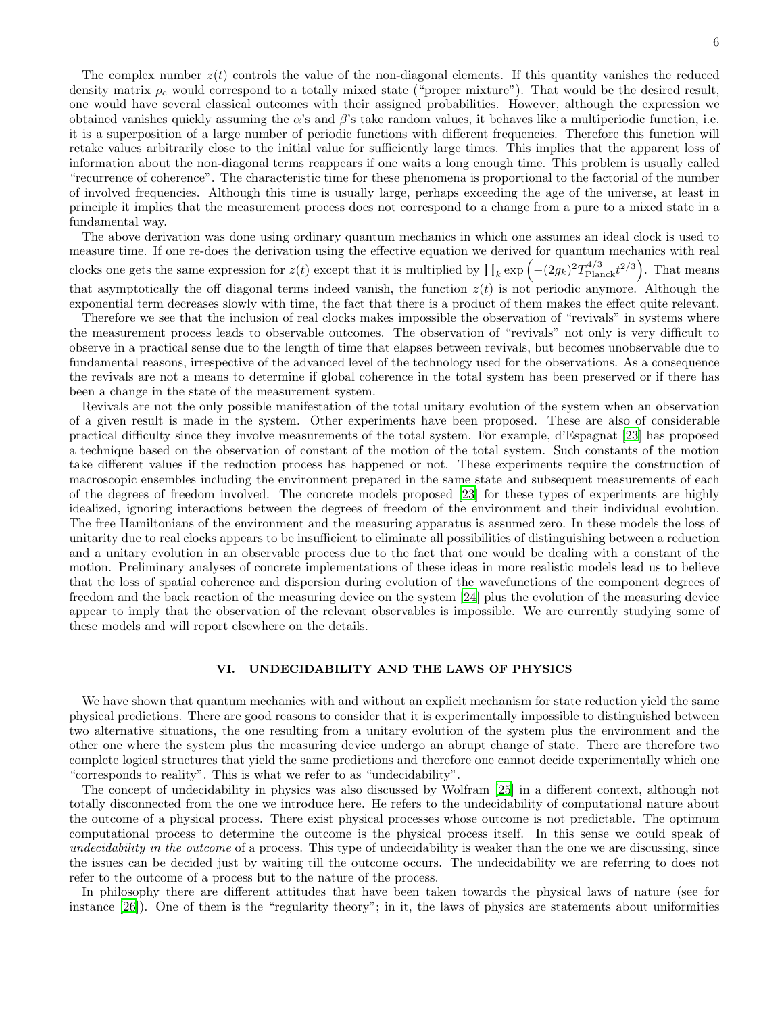The complex number  $z(t)$  controls the value of the non-diagonal elements. If this quantity vanishes the reduced density matrix  $\rho_c$  would correspond to a totally mixed state ("proper mixture"). That would be the desired result, one would have several classical outcomes with their assigned probabilities. However, although the expression we obtained vanishes quickly assuming the  $\alpha$ 's and  $\beta$ 's take random values, it behaves like a multiperiodic function, i.e. it is a superposition of a large number of periodic functions with different frequencies. Therefore this function will retake values arbitrarily close to the initial value for sufficiently large times. This implies that the apparent loss of information about the non-diagonal terms reappears if one waits a long enough time. This problem is usually called "recurrence of coherence". The characteristic time for these phenomena is proportional to the factorial of the number of involved frequencies. Although this time is usually large, perhaps exceeding the age of the universe, at least in principle it implies that the measurement process does not correspond to a change from a pure to a mixed state in a fundamental way.

The above derivation was done using ordinary quantum mechanics in which one assumes an ideal clock is used to measure time. If one re-does the derivation using the effective equation we derived for quantum mechanics with real clocks one gets the same expression for  $z(t)$  except that it is multiplied by  $\prod_k \exp\left(-(2g_k)^2 T_{\text{Planck}}^{4/3} t^{2/3}\right)$ . That means that asymptotically the off diagonal terms indeed vanish, the function  $z(t)$  is not periodic anymore. Although the exponential term decreases slowly with time, the fact that there is a product of them makes the effect quite relevant.

Therefore we see that the inclusion of real clocks makes impossible the observation of "revivals" in systems where the measurement process leads to observable outcomes. The observation of "revivals" not only is very difficult to observe in a practical sense due to the length of time that elapses between revivals, but becomes unobservable due to fundamental reasons, irrespective of the advanced level of the technology used for the observations. As a consequence the revivals are not a means to determine if global coherence in the total system has been preserved or if there has been a change in the state of the measurement system.

Revivals are not the only possible manifestation of the total unitary evolution of the system when an observation of a given result is made in the system. Other experiments have been proposed. These are also of considerable practical difficulty since they involve measurements of the total system. For example, d'Espagnat [\[23\]](#page-7-9) has proposed a technique based on the observation of constant of the motion of the total system. Such constants of the motion take different values if the reduction process has happened or not. These experiments require the construction of macroscopic ensembles including the environment prepared in the same state and subsequent measurements of each of the degrees of freedom involved. The concrete models proposed [\[23\]](#page-7-9) for these types of experiments are highly idealized, ignoring interactions between the degrees of freedom of the environment and their individual evolution. The free Hamiltonians of the environment and the measuring apparatus is assumed zero. In these models the loss of unitarity due to real clocks appears to be insufficient to eliminate all possibilities of distinguishing between a reduction and a unitary evolution in an observable process due to the fact that one would be dealing with a constant of the motion. Preliminary analyses of concrete implementations of these ideas in more realistic models lead us to believe that the loss of spatial coherence and dispersion during evolution of the wavefunctions of the component degrees of freedom and the back reaction of the measuring device on the system [\[24](#page-7-10)] plus the evolution of the measuring device appear to imply that the observation of the relevant observables is impossible. We are currently studying some of these models and will report elsewhere on the details.

#### VI. UNDECIDABILITY AND THE LAWS OF PHYSICS

We have shown that quantum mechanics with and without an explicit mechanism for state reduction yield the same physical predictions. There are good reasons to consider that it is experimentally impossible to distinguished between two alternative situations, the one resulting from a unitary evolution of the system plus the environment and the other one where the system plus the measuring device undergo an abrupt change of state. There are therefore two complete logical structures that yield the same predictions and therefore one cannot decide experimentally which one "corresponds to reality". This is what we refer to as "undecidability".

The concept of undecidability in physics was also discussed by Wolfram [\[25](#page-7-11)] in a different context, although not totally disconnected from the one we introduce here. He refers to the undecidability of computational nature about the outcome of a physical process. There exist physical processes whose outcome is not predictable. The optimum computational process to determine the outcome is the physical process itself. In this sense we could speak of undecidability in the outcome of a process. This type of undecidability is weaker than the one we are discussing, since the issues can be decided just by waiting till the outcome occurs. The undecidability we are referring to does not refer to the outcome of a process but to the nature of the process.

In philosophy there are different attitudes that have been taken towards the physical laws of nature (see for instance [\[26](#page-7-12)]). One of them is the "regularity theory"; in it, the laws of physics are statements about uniformities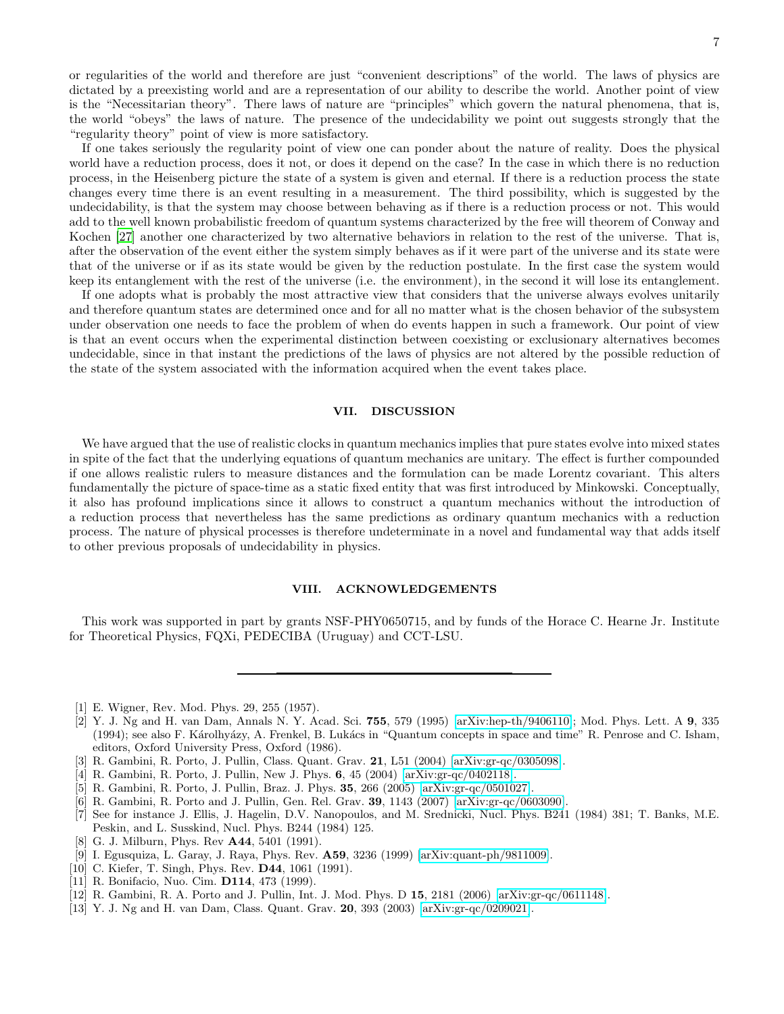or regularities of the world and therefore are just "convenient descriptions" of the world. The laws of physics are dictated by a preexisting world and are a representation of our ability to describe the world. Another point of view is the "Necessitarian theory". There laws of nature are "principles" which govern the natural phenomena, that is, the world "obeys" the laws of nature. The presence of the undecidability we point out suggests strongly that the "regularity theory" point of view is more satisfactory.

If one takes seriously the regularity point of view one can ponder about the nature of reality. Does the physical world have a reduction process, does it not, or does it depend on the case? In the case in which there is no reduction process, in the Heisenberg picture the state of a system is given and eternal. If there is a reduction process the state changes every time there is an event resulting in a measurement. The third possibility, which is suggested by the undecidability, is that the system may choose between behaving as if there is a reduction process or not. This would add to the well known probabilistic freedom of quantum systems characterized by the free will theorem of Conway and Kochen [\[27](#page-7-13)] another one characterized by two alternative behaviors in relation to the rest of the universe. That is, after the observation of the event either the system simply behaves as if it were part of the universe and its state were that of the universe or if as its state would be given by the reduction postulate. In the first case the system would keep its entanglement with the rest of the universe (i.e. the environment), in the second it will lose its entanglement.

If one adopts what is probably the most attractive view that considers that the universe always evolves unitarily and therefore quantum states are determined once and for all no matter what is the chosen behavior of the subsystem under observation one needs to face the problem of when do events happen in such a framework. Our point of view is that an event occurs when the experimental distinction between coexisting or exclusionary alternatives becomes undecidable, since in that instant the predictions of the laws of physics are not altered by the possible reduction of the state of the system associated with the information acquired when the event takes place.

#### VII. DISCUSSION

We have argued that the use of realistic clocks in quantum mechanics implies that pure states evolve into mixed states in spite of the fact that the underlying equations of quantum mechanics are unitary. The effect is further compounded if one allows realistic rulers to measure distances and the formulation can be made Lorentz covariant. This alters fundamentally the picture of space-time as a static fixed entity that was first introduced by Minkowski. Conceptually, it also has profound implications since it allows to construct a quantum mechanics without the introduction of a reduction process that nevertheless has the same predictions as ordinary quantum mechanics with a reduction process. The nature of physical processes is therefore undeterminate in a novel and fundamental way that adds itself to other previous proposals of undecidability in physics.

### VIII. ACKNOWLEDGEMENTS

This work was supported in part by grants NSF-PHY0650715, and by funds of the Horace C. Hearne Jr. Institute for Theoretical Physics, FQXi, PEDECIBA (Uruguay) and CCT-LSU.

- <span id="page-6-0"></span>[1] E. Wigner, Rev. Mod. Phys. 29, 255 (1957).
- <span id="page-6-1"></span>[2] Y. J. Ng and H. van Dam, Annals N. Y. Acad. Sci. 755, 579 (1995) [\[arXiv:hep-th/9406110\]](http://arxiv.org/abs/hep-th/9406110); Mod. Phys. Lett. A 9, 335 (1994); see also F. Károlhyázy, A. Frenkel, B. Lukács in "Quantum concepts in space and time" R. Penrose and C. Isham, editors, Oxford University Press, Oxford (1986).
- <span id="page-6-2"></span>[3] R. Gambini, R. Porto, J. Pullin, Class. Quant. Grav. 21, L51 (2004) [\[arXiv:gr-qc/0305098\]](http://arxiv.org/abs/gr-qc/0305098).
- <span id="page-6-3"></span>[4] R. Gambini, R. Porto, J. Pullin, New J. Phys. 6, 45 (2004) [\[arXiv:gr-qc/0402118\]](http://arxiv.org/abs/gr-qc/0402118).
- <span id="page-6-4"></span>[5] R. Gambini, R. Porto, J. Pullin, Braz. J. Phys. 35, 266 (2005) [\[arXiv:gr-qc/0501027\]](http://arxiv.org/abs/gr-qc/0501027).
- <span id="page-6-5"></span>[6] R. Gambini, R. Porto and J. Pullin, Gen. Rel. Grav. 39, 1143 (2007) [\[arXiv:gr-qc/0603090\]](http://arxiv.org/abs/gr-qc/0603090).
- <span id="page-6-6"></span>[7] See for instance J. Ellis, J. Hagelin, D.V. Nanopoulos, and M. Srednicki, Nucl. Phys. B241 (1984) 381; T. Banks, M.E. Peskin, and L. Susskind, Nucl. Phys. B244 (1984) 125.
- <span id="page-6-7"></span>[8] G. J. Milburn, Phys. Rev **A44**, 5401 (1991).
- <span id="page-6-8"></span>[9] I. Egusquiza, L. Garay, J. Raya, Phys. Rev. A59, 3236 (1999) [\[arXiv:quant-ph/9811009\]](http://arxiv.org/abs/quant-ph/9811009).
- <span id="page-6-9"></span>[10] C. Kiefer, T. Singh, Phys. Rev. **D44**, 1061 (1991).
- <span id="page-6-10"></span>[11] R. Bonifacio, Nuo. Cim. D114, 473 (1999).
- <span id="page-6-11"></span>[12] R. Gambini, R. A. Porto and J. Pullin, Int. J. Mod. Phys. D 15, 2181 (2006) [\[arXiv:gr-qc/0611148\]](http://arxiv.org/abs/gr-qc/0611148).
- <span id="page-6-12"></span>[13] Y. J. Ng and H. van Dam, Class. Quant. Grav. 20, 393 (2003) [\[arXiv:gr-qc/0209021\]](http://arxiv.org/abs/gr-qc/0209021).